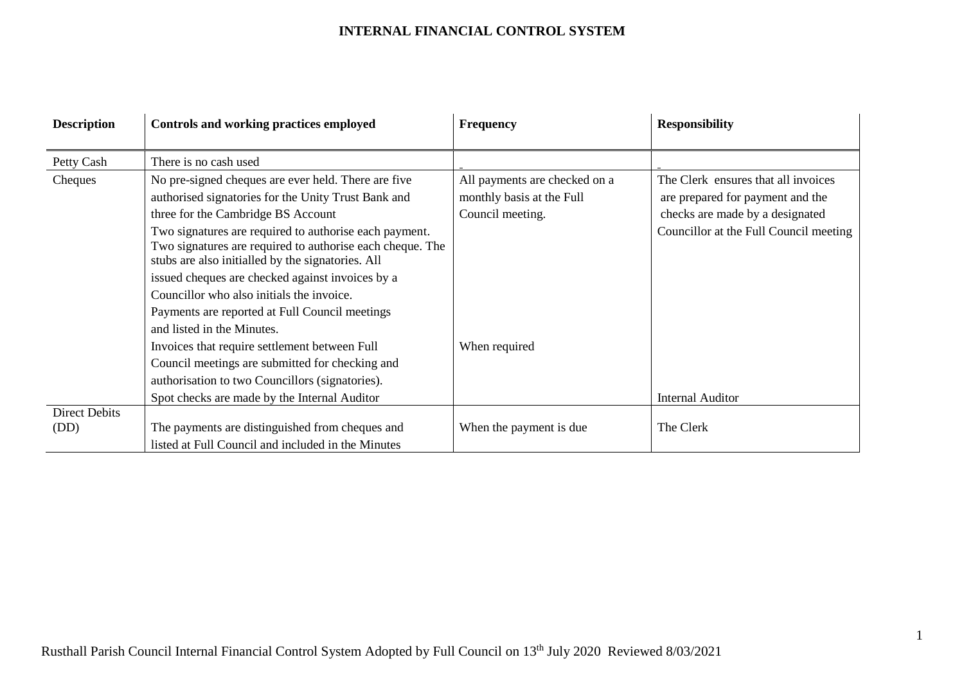| <b>Description</b>   | Controls and working practices employed                                                                                                                                  | <b>Frequency</b>              | <b>Responsibility</b>                  |
|----------------------|--------------------------------------------------------------------------------------------------------------------------------------------------------------------------|-------------------------------|----------------------------------------|
|                      |                                                                                                                                                                          |                               |                                        |
| Petty Cash           | There is no cash used                                                                                                                                                    |                               |                                        |
| Cheques              | No pre-signed cheques are ever held. There are five                                                                                                                      | All payments are checked on a | The Clerk ensures that all invoices    |
|                      | authorised signatories for the Unity Trust Bank and                                                                                                                      | monthly basis at the Full     | are prepared for payment and the       |
|                      | three for the Cambridge BS Account                                                                                                                                       | Council meeting.              | checks are made by a designated        |
|                      | Two signatures are required to authorise each payment.<br>Two signatures are required to authorise each cheque. The<br>stubs are also initialled by the signatories. All |                               | Councillor at the Full Council meeting |
|                      | issued cheques are checked against invoices by a                                                                                                                         |                               |                                        |
|                      | Councillor who also initials the invoice.                                                                                                                                |                               |                                        |
|                      | Payments are reported at Full Council meetings                                                                                                                           |                               |                                        |
|                      | and listed in the Minutes.                                                                                                                                               |                               |                                        |
|                      | Invoices that require settlement between Full                                                                                                                            | When required                 |                                        |
|                      | Council meetings are submitted for checking and                                                                                                                          |                               |                                        |
|                      | authorisation to two Councillors (signatories).                                                                                                                          |                               |                                        |
|                      | Spot checks are made by the Internal Auditor                                                                                                                             |                               | <b>Internal Auditor</b>                |
| <b>Direct Debits</b> |                                                                                                                                                                          |                               |                                        |
| (DD)                 | The payments are distinguished from cheques and                                                                                                                          | When the payment is due       | The Clerk                              |
|                      | listed at Full Council and included in the Minutes                                                                                                                       |                               |                                        |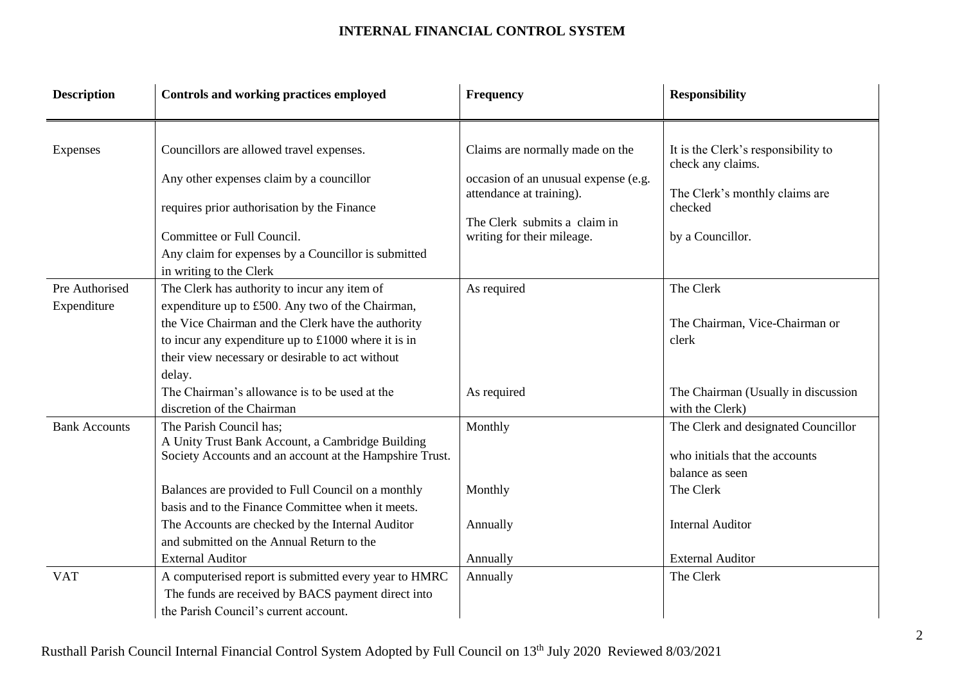| <b>Description</b>            | Controls and working practices employed                                                                                                                                                                                                                                                                                                                   | Frequency                                                                                                                                                         | <b>Responsibility</b>                                                                                                                               |
|-------------------------------|-----------------------------------------------------------------------------------------------------------------------------------------------------------------------------------------------------------------------------------------------------------------------------------------------------------------------------------------------------------|-------------------------------------------------------------------------------------------------------------------------------------------------------------------|-----------------------------------------------------------------------------------------------------------------------------------------------------|
| Expenses                      | Councillors are allowed travel expenses.<br>Any other expenses claim by a councillor<br>requires prior authorisation by the Finance<br>Committee or Full Council.<br>Any claim for expenses by a Councillor is submitted                                                                                                                                  | Claims are normally made on the<br>occasion of an unusual expense (e.g.<br>attendance at training).<br>The Clerk submits a claim in<br>writing for their mileage. | It is the Clerk's responsibility to<br>check any claims.<br>The Clerk's monthly claims are<br>checked<br>by a Councillor.                           |
| Pre Authorised<br>Expenditure | in writing to the Clerk<br>The Clerk has authority to incur any item of<br>expenditure up to £500. Any two of the Chairman,<br>the Vice Chairman and the Clerk have the authority<br>to incur any expenditure up to $£1000$ where it is in<br>their view necessary or desirable to act without<br>delay.<br>The Chairman's allowance is to be used at the | As required<br>As required                                                                                                                                        | The Clerk<br>The Chairman, Vice-Chairman or<br>clerk<br>The Chairman (Usually in discussion                                                         |
| <b>Bank Accounts</b>          | discretion of the Chairman<br>The Parish Council has;<br>A Unity Trust Bank Account, a Cambridge Building<br>Society Accounts and an account at the Hampshire Trust.<br>Balances are provided to Full Council on a monthly<br>basis and to the Finance Committee when it meets.<br>The Accounts are checked by the Internal Auditor                       | Monthly<br>Monthly<br>Annually                                                                                                                                    | with the Clerk)<br>The Clerk and designated Councillor<br>who initials that the accounts<br>balance as seen<br>The Clerk<br><b>Internal Auditor</b> |
| <b>VAT</b>                    | and submitted on the Annual Return to the<br><b>External Auditor</b><br>A computerised report is submitted every year to HMRC<br>The funds are received by BACS payment direct into<br>the Parish Council's current account.                                                                                                                              | Annually<br>Annually                                                                                                                                              | <b>External Auditor</b><br>The Clerk                                                                                                                |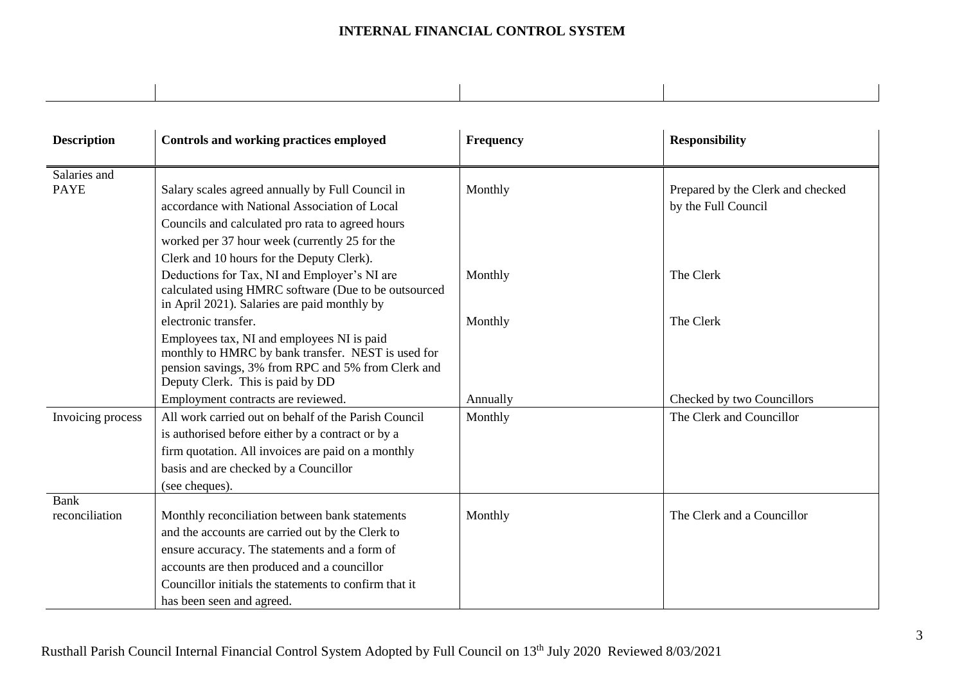| <b>Description</b> | Controls and working practices employed                                                              | Frequency | <b>Responsibility</b>             |
|--------------------|------------------------------------------------------------------------------------------------------|-----------|-----------------------------------|
|                    |                                                                                                      |           |                                   |
| Salaries and       |                                                                                                      |           |                                   |
| <b>PAYE</b>        | Salary scales agreed annually by Full Council in                                                     | Monthly   | Prepared by the Clerk and checked |
|                    | accordance with National Association of Local                                                        |           | by the Full Council               |
|                    | Councils and calculated pro rata to agreed hours                                                     |           |                                   |
|                    | worked per 37 hour week (currently 25 for the                                                        |           |                                   |
|                    | Clerk and 10 hours for the Deputy Clerk).                                                            |           |                                   |
|                    | Deductions for Tax, NI and Employer's NI are                                                         | Monthly   | The Clerk                         |
|                    | calculated using HMRC software (Due to be outsourced<br>in April 2021). Salaries are paid monthly by |           |                                   |
|                    | electronic transfer.                                                                                 | Monthly   | The Clerk                         |
|                    | Employees tax, NI and employees NI is paid                                                           |           |                                   |
|                    | monthly to HMRC by bank transfer. NEST is used for                                                   |           |                                   |
|                    | pension savings, 3% from RPC and 5% from Clerk and                                                   |           |                                   |
|                    | Deputy Clerk. This is paid by DD                                                                     |           |                                   |
|                    | Employment contracts are reviewed.                                                                   | Annually  | Checked by two Councillors        |
| Invoicing process  | All work carried out on behalf of the Parish Council                                                 | Monthly   | The Clerk and Councillor          |
|                    | is authorised before either by a contract or by a                                                    |           |                                   |
|                    | firm quotation. All invoices are paid on a monthly                                                   |           |                                   |
|                    | basis and are checked by a Councillor                                                                |           |                                   |
|                    | (see cheques).                                                                                       |           |                                   |
| <b>Bank</b>        |                                                                                                      |           |                                   |
| reconciliation     | Monthly reconciliation between bank statements                                                       | Monthly   | The Clerk and a Councillor        |
|                    | and the accounts are carried out by the Clerk to                                                     |           |                                   |
|                    | ensure accuracy. The statements and a form of                                                        |           |                                   |
|                    | accounts are then produced and a councillor                                                          |           |                                   |
|                    | Councillor initials the statements to confirm that it                                                |           |                                   |
|                    | has been seen and agreed.                                                                            |           |                                   |